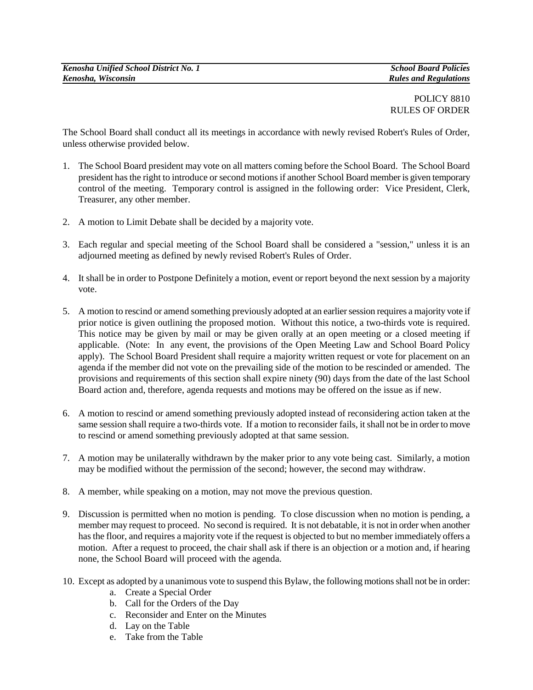## POLICY 8810 RULES OF ORDER

The School Board shall conduct all its meetings in accordance with newly revised Robert's Rules of Order, unless otherwise provided below.

- 1. The School Board president may vote on all matters coming before the School Board. The School Board president has the right to introduce or second motions if another School Board member is given temporary control of the meeting. Temporary control is assigned in the following order: Vice President, Clerk, Treasurer, any other member.
- 2. A motion to Limit Debate shall be decided by a majority vote.
- 3. Each regular and special meeting of the School Board shall be considered a "session," unless it is an adjourned meeting as defined by newly revised Robert's Rules of Order.
- 4. It shall be in order to Postpone Definitely a motion, event or report beyond the next session by a majority vote.
- 5. A motion to rescind or amend something previously adopted at an earlier session requires a majority vote if prior notice is given outlining the proposed motion. Without this notice, a two-thirds vote is required. This notice may be given by mail or may be given orally at an open meeting or a closed meeting if applicable. (Note: In any event, the provisions of the Open Meeting Law and School Board Policy apply). The School Board President shall require a majority written request or vote for placement on an agenda if the member did not vote on the prevailing side of the motion to be rescinded or amended. The provisions and requirements of this section shall expire ninety (90) days from the date of the last School Board action and, therefore, agenda requests and motions may be offered on the issue as if new.
- 6. A motion to rescind or amend something previously adopted instead of reconsidering action taken at the same session shall require a two-thirds vote. If a motion to reconsider fails, it shall not be in order to move to rescind or amend something previously adopted at that same session.
- 7. A motion may be unilaterally withdrawn by the maker prior to any vote being cast. Similarly, a motion may be modified without the permission of the second; however, the second may withdraw.
- 8. A member, while speaking on a motion, may not move the previous question.
- 9. Discussion is permitted when no motion is pending. To close discussion when no motion is pending, a member may request to proceed. No second is required. It is not debatable, it is not in order when another has the floor, and requires a majority vote if the request is objected to but no member immediately offers a motion. After a request to proceed, the chair shall ask if there is an objection or a motion and, if hearing none, the School Board will proceed with the agenda.
- 10. Except as adopted by a unanimous vote to suspend this Bylaw, the following motions shall not be in order:
	- a. Create a Special Order
	- b. Call for the Orders of the Day
	- c. Reconsider and Enter on the Minutes
	- d. Lay on the Table
	- e. Take from the Table